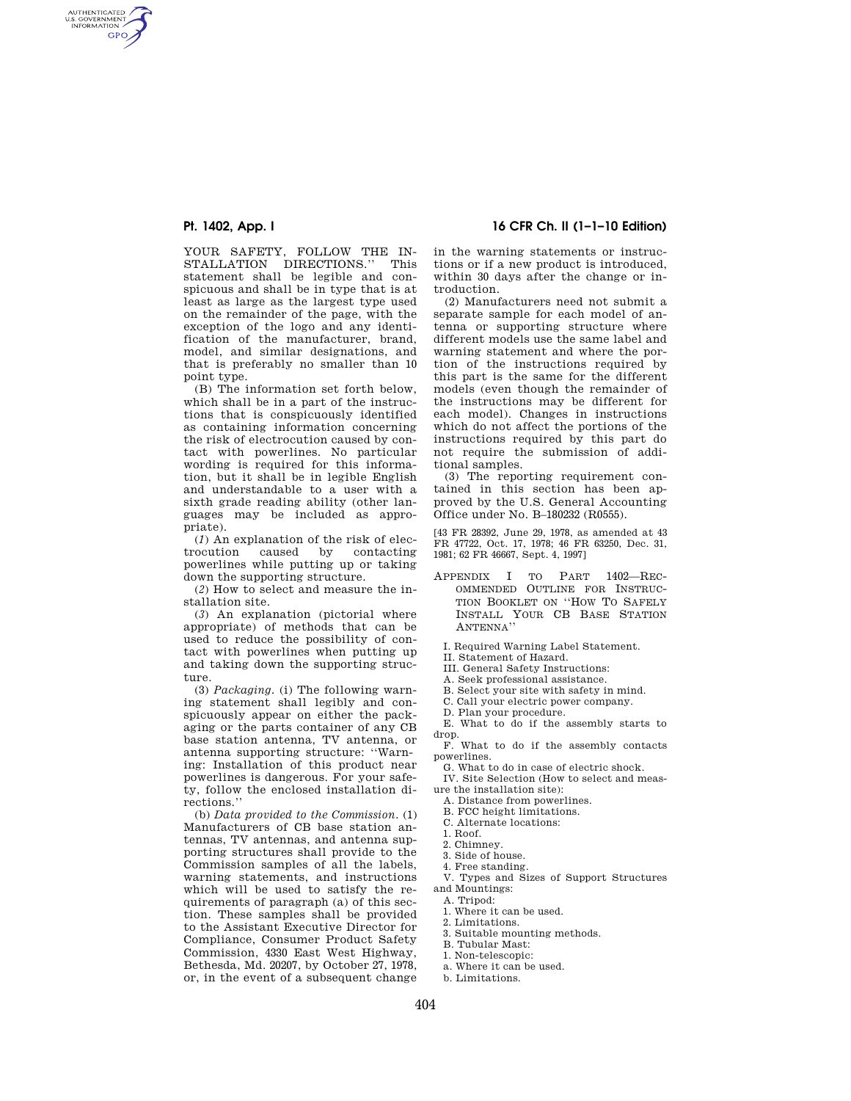AUTHENTICATED<br>U.S. GOVERNMENT<br>INFORMATION **GPO** 

> YOUR SAFETY, FOLLOW THE IN-STALLATION DIRECTIONS.'' This statement shall be legible and conspicuous and shall be in type that is at least as large as the largest type used on the remainder of the page, with the exception of the logo and any identification of the manufacturer, brand, model, and similar designations, and that is preferably no smaller than 10 point type.

> (B) The information set forth below, which shall be in a part of the instructions that is conspicuously identified as containing information concerning the risk of electrocution caused by contact with powerlines. No particular wording is required for this information, but it shall be in legible English and understandable to a user with a sixth grade reading ability (other languages may be included as appropriate).

> (*1*) An explanation of the risk of electrocution caused by contacting caused by contacting powerlines while putting up or taking down the supporting structure.

> (*2*) How to select and measure the installation site.

> (*3*) An explanation (pictorial where appropriate) of methods that can be used to reduce the possibility of contact with powerlines when putting up and taking down the supporting structure.

> (3) *Packaging.* (i) The following warning statement shall legibly and conspicuously appear on either the packaging or the parts container of any CB base station antenna, TV antenna, or antenna supporting structure: ''Warning: Installation of this product near powerlines is dangerous. For your safety, follow the enclosed installation directions.''

> (b) *Data provided to the Commission.* (1) Manufacturers of CB base station antennas, TV antennas, and antenna supporting structures shall provide to the Commission samples of all the labels, warning statements, and instructions which will be used to satisfy the requirements of paragraph (a) of this section. These samples shall be provided to the Assistant Executive Director for Compliance, Consumer Product Safety Commission, 4330 East West Highway, Bethesda, Md. 20207, by October 27, 1978, or, in the event of a subsequent change

# **Pt. 1402, App. I 16 CFR Ch. II (1–1–10 Edition)**

in the warning statements or instructions or if a new product is introduced, within 30 days after the change or introduction.

(2) Manufacturers need not submit a separate sample for each model of antenna or supporting structure where different models use the same label and warning statement and where the portion of the instructions required by this part is the same for the different models (even though the remainder of the instructions may be different for each model). Changes in instructions which do not affect the portions of the instructions required by this part do not require the submission of additional samples.

(3) The reporting requirement contained in this section has been approved by the U.S. General Accounting Office under No. B–180232 (R0555).

[43 FR 28392, June 29, 1978, as amended at 43 FR 47722, Oct. 17, 1978; 46 FR 63250, Dec. 31, 1981; 62 FR 46667, Sept. 4, 1997]

- APPENDIX I TO PART 1402—REC-OMMENDED OUTLINE FOR INSTRUC-TION BOOKLET ON ''HOW TO SAFELY INSTALL YOUR CB BASE STATION ANTENNA''
- I. Required Warning Label Statement.

II. Statement of Hazard.

III. General Safety Instructions:

A. Seek professional assistance.

B. Select your site with safety in mind.

C. Call your electric power company.

D. Plan your procedure.

E. What to do if the assembly starts to drop.

F. What to do if the assembly contacts powerlines.

G. What to do in case of electric shock. IV. Site Selection (How to select and meas-

ure the installation site):

A. Distance from powerlines.

B. FCC height limitations.

C. Alternate locations:

2. Chimney.

3. Side of house.

4. Free standing.

V. Types and Sizes of Support Structures and Mountings:

A. Tripod:

1. Where it can be used.

2. Limitations.

3. Suitable mounting methods.

B. Tubular Mast:

1. Non-telescopic:

a. Where it can be used.

b. Limitations.

<sup>1.</sup> Roof.